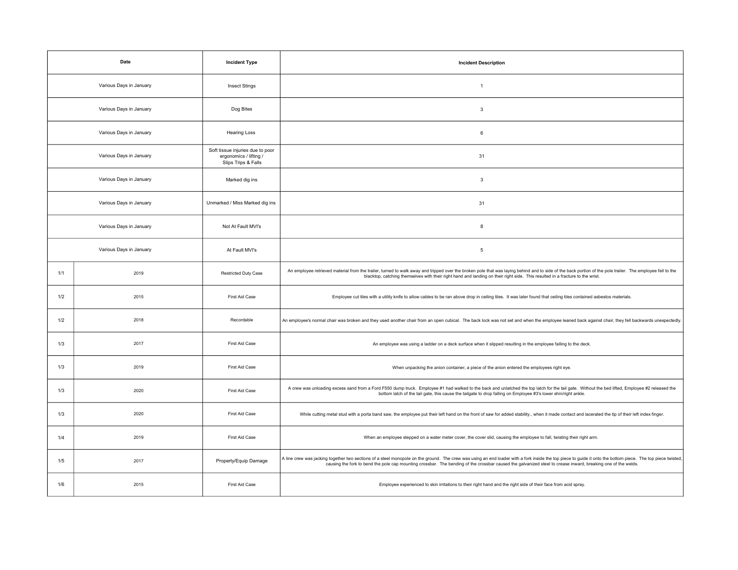| Date                    |      | <b>Incident Type</b>                                                              | <b>Incident Description</b>                                                                                                                                                                                                                                                                                                                                                  |
|-------------------------|------|-----------------------------------------------------------------------------------|------------------------------------------------------------------------------------------------------------------------------------------------------------------------------------------------------------------------------------------------------------------------------------------------------------------------------------------------------------------------------|
| Various Days in January |      | <b>Insect Stings</b>                                                              | $\mathbf{1}$                                                                                                                                                                                                                                                                                                                                                                 |
| Various Days in January |      | Dog Bites                                                                         | 3                                                                                                                                                                                                                                                                                                                                                                            |
| Various Days in January |      | <b>Hearing Loss</b>                                                               | 6                                                                                                                                                                                                                                                                                                                                                                            |
| Various Days in January |      | Soft tissue injuries due to poor<br>ergonomics / lifting /<br>Slips Trips & Falls | 31                                                                                                                                                                                                                                                                                                                                                                           |
| Various Days in January |      | Marked dig ins                                                                    | $\mathbf{3}$                                                                                                                                                                                                                                                                                                                                                                 |
| Various Days in January |      | Unmarked / Miss Marked dig ins                                                    | 31                                                                                                                                                                                                                                                                                                                                                                           |
| Various Days in January |      | Not At Fault MVI's                                                                | 8                                                                                                                                                                                                                                                                                                                                                                            |
| Various Days in January |      | At Fault MVI's                                                                    | 5                                                                                                                                                                                                                                                                                                                                                                            |
| 1/1                     | 2019 | <b>Restricted Duty Case</b>                                                       | An employee retrieved material from the trailer, turned to walk away and tripped over the broken pole that was laying behind and to side of the back portion of the pole trailer. The employee fell to the<br>blacktop, catching themselves with their right hand and landing on their right side. This resulted in a fracture to the wrist.                                 |
| 1/2                     | 2015 | First Aid Case                                                                    | Employee cut tiles with a utility knife to allow cables to be ran above drop in ceiling tiles. It was later found that ceiling tiles contained asbestos materials.                                                                                                                                                                                                           |
| 1/2                     | 2018 | Recordable                                                                        | An employee's normal chair was broken and they used another chair from an open cubical. The back lock was not set and when the employee leaned back against chair, they fell backwards unexpectedly                                                                                                                                                                          |
| 1/3                     | 2017 | First Aid Case                                                                    | An employee was using a ladder on a deck surface when it slipped resulting in the employee falling to the deck.                                                                                                                                                                                                                                                              |
| 1/3                     | 2019 | First Aid Case                                                                    | When unpacking the anion container, a piece of the anion entered the employees right eye.                                                                                                                                                                                                                                                                                    |
| 1/3                     | 2020 | First Aid Case                                                                    | A crew was unloading excess sand from a Ford F550 dump truck. Employee #1 had walked to the back and unlatched the top latch for the tail gate. Without the bed lifted, Employee #2 released the<br>bottom latch of the tail gate, this cause the tailgate to drop falling on Employee #3's lower shin/right ankle.                                                          |
| 1/3                     | 2020 | First Aid Case                                                                    | While cutting metal stud with a porta band saw, the employee put their left hand on the front of saw for added stability., when it made contact and lacerated the tip of their left index finger.                                                                                                                                                                            |
| 1/4                     | 2019 | First Aid Case                                                                    | When an employee stepped on a water meter cover, the cover slid, causing the employee to fall, twisting their right arm.                                                                                                                                                                                                                                                     |
| 1/5                     | 2017 | Property/Equip Damage                                                             | A line crew was jacking together two sections of a steel monopole on the ground. The crew was using an end loader with a fork inside the top piece to guide it onto the bottom piece. The top piece twisted<br>causing the fork to bend the pole cap mounting crossbar. The bending of the crossbar caused the galvanized steel to crease inward, breaking one of the welds. |
| 1/6                     | 2015 | First Aid Case                                                                    | Employee experienced to skin irritations to their right hand and the right side of their face from acid spray.                                                                                                                                                                                                                                                               |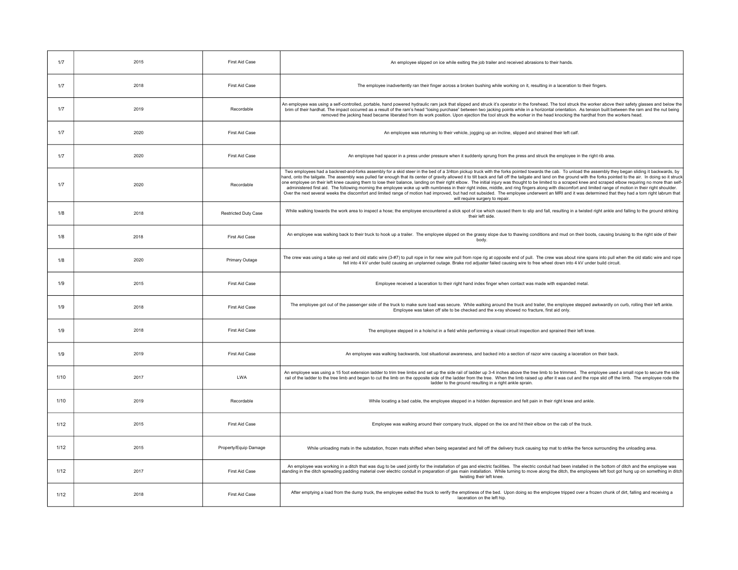| 1/7  | 2015 | <b>First Aid Case</b> | An employee slipped on ice while exiting the job trailer and received abrasions to their hands.                                                                                                                                                                                                                                                                                                                                                                                                                                                                                                                                                                                                                                                                                                                                                                                                                                                                                                                                                                                                                  |
|------|------|-----------------------|------------------------------------------------------------------------------------------------------------------------------------------------------------------------------------------------------------------------------------------------------------------------------------------------------------------------------------------------------------------------------------------------------------------------------------------------------------------------------------------------------------------------------------------------------------------------------------------------------------------------------------------------------------------------------------------------------------------------------------------------------------------------------------------------------------------------------------------------------------------------------------------------------------------------------------------------------------------------------------------------------------------------------------------------------------------------------------------------------------------|
| 1/7  | 2018 | First Aid Case        | The employee inadvertently ran their finger across a broken bushing while working on it, resulting in a laceration to their fingers.                                                                                                                                                                                                                                                                                                                                                                                                                                                                                                                                                                                                                                                                                                                                                                                                                                                                                                                                                                             |
| 1/7  | 2019 | Recordable            | An employee was using a self-controlled, portable, hand powered hydraulic ram jack that slipped and struck it's operator in the forehead. The tool struck the worker above their safety glasses and below the<br>brim of their hardhat. The impact occurred as a result of the ram's head "losing purchase" between two jacking points while in a horizontal orientation. As tension built between the ram and the nut being<br>removed the jacking head became liberated from its work position. Upon ejection the tool struck the worker in the head knocking the hardhat from the workers head.                                                                                                                                                                                                                                                                                                                                                                                                                                                                                                               |
| 1/7  | 2020 | First Aid Case        | An employee was returning to their vehicle, jogging up an incline, slipped and strained their left calf.                                                                                                                                                                                                                                                                                                                                                                                                                                                                                                                                                                                                                                                                                                                                                                                                                                                                                                                                                                                                         |
| 1/7  | 2020 | First Aid Case        | An employee had spacer in a press under pressure when it suddenly sprung from the press and struck the employee in the right rib area.                                                                                                                                                                                                                                                                                                                                                                                                                                                                                                                                                                                                                                                                                                                                                                                                                                                                                                                                                                           |
| 1/7  | 2020 | Recordable            | Two employees had a backrest-and-forks assembly for a skid steer in the bed of a 3/4ton pickup truck with the forks pointed towards the cab. To unload the assembly they began sliding it backwards, by<br>hand, onto the tailgate. The assembly was pulled far enough that its center of gravity allowed it to tilt back and fall off the tailgate and land on the ground with the forks pointed to the air. In doing so it struck<br>one employee on their left knee causing them to lose their balance, landing on their right elbow. The initial injury was thought to be limited to a scraped knee and scraped elbow requiring no more than self-<br>administered first aid. The following morning the employee woke up with numbness in their right index, middle, and ring fingers along with discomfort and limited range of motion in their right shoulder.<br>Over the next several weeks the discomfort and limited range of motion had improved, but had not subsided. The employee underwent an MRI and it was determined that they had a torn right labrum that<br>will require surgery to repair. |
| 1/8  | 2018 | Restricted Duty Case  | While walking towards the work area to inspect a hose; the employee encountered a slick spot of ice which caused them to slip and fall, resulting in a twisted right ankle and falling to the ground striking<br>their left side                                                                                                                                                                                                                                                                                                                                                                                                                                                                                                                                                                                                                                                                                                                                                                                                                                                                                 |
| 1/8  | 2018 | First Aid Case        | An employee was walking back to their truck to hook up a trailer. The employee slipped on the grassy slope due to thawing conditions and mud on their boots, causing bruising to the right side of their<br>body                                                                                                                                                                                                                                                                                                                                                                                                                                                                                                                                                                                                                                                                                                                                                                                                                                                                                                 |
| 1/8  | 2020 | Primary Outage        | The crew was using a take up reel and old static wire (3-#7) to pull rope in for new wire pull from rope rig at opposite end of pull. The crew was about nine spans into pull when the old static wire and rope<br>fell into 4 kV under build causing an unplanned outage. Brake rod adjuster failed causing wire to free wheel down into 4 kV under build circuit.                                                                                                                                                                                                                                                                                                                                                                                                                                                                                                                                                                                                                                                                                                                                              |
| 1/9  | 2015 | First Aid Case        | Employee received a laceration to their right hand index finger when contact was made with expanded metal.                                                                                                                                                                                                                                                                                                                                                                                                                                                                                                                                                                                                                                                                                                                                                                                                                                                                                                                                                                                                       |
| 1/9  | 2018 | First Aid Case        | The employee got out of the passenger side of the truck to make sure load was secure. While walking around the truck and trailer, the employee stepped awkwardly on curb, rolling their left ankle.<br>Employee was taken off site to be checked and the x-ray showed no fracture, first aid only.                                                                                                                                                                                                                                                                                                                                                                                                                                                                                                                                                                                                                                                                                                                                                                                                               |
| 1/9  | 2018 | First Aid Case        | The employee stepped in a hole/rut in a field while performing a visual circuit inspection and sprained their left knee.                                                                                                                                                                                                                                                                                                                                                                                                                                                                                                                                                                                                                                                                                                                                                                                                                                                                                                                                                                                         |
| 1/9  | 2019 | First Aid Case        | An employee was walking backwards, lost situational awareness, and backed into a section of razor wire causing a laceration on their back.                                                                                                                                                                                                                                                                                                                                                                                                                                                                                                                                                                                                                                                                                                                                                                                                                                                                                                                                                                       |
| 1/10 | 2017 | I WA                  | An employee was using a 15 foot extension ladder to trim tree limbs and set up the side rail of ladder up 3-4 inches above the tree limb to be trimmed. The employee used a small rope to secure the side<br>rail of the ladder to the tree limb and began to cut the limb on the opposite side of the ladder from the tree. When the limb raised up after it was cut and the rope slid off the limb. The employee rode the<br>ladder to the ground resulting in a right ankle sprain.                                                                                                                                                                                                                                                                                                                                                                                                                                                                                                                                                                                                                           |
| 1/10 | 2019 | Recordable            | While locating a bad cable, the employee stepped in a hidden depression and felt pain in their right knee and ankle.                                                                                                                                                                                                                                                                                                                                                                                                                                                                                                                                                                                                                                                                                                                                                                                                                                                                                                                                                                                             |
| 1/12 | 2015 | First Aid Case        | Employee was walking around their company truck, slipped on the ice and hit their elbow on the cab of the truck.                                                                                                                                                                                                                                                                                                                                                                                                                                                                                                                                                                                                                                                                                                                                                                                                                                                                                                                                                                                                 |
| 1/12 | 2015 | Property/Equip Damage | While unloading mats in the substation, frozen mats shifted when being separated and fell off the delivery truck causing top mat to strike the fence surrounding the unloading area.                                                                                                                                                                                                                                                                                                                                                                                                                                                                                                                                                                                                                                                                                                                                                                                                                                                                                                                             |
| 1/12 | 2017 | First Aid Case        | An employee was working in a ditch that was dug to be used jointly for the installation of gas and electric facilities. The electric conduit had been installed in the bottom of ditch and the employee was<br>standing in the ditch spreading padding material over electric conduit in preparation of gas main installation. While turning to move along the ditch, the employees left foot got hung up on something in ditch<br>twisting their left knee.                                                                                                                                                                                                                                                                                                                                                                                                                                                                                                                                                                                                                                                     |
| 1/12 | 2018 | First Aid Case        | After emptying a load from the dump truck, the employee exited the truck to verify the emptiness of the bed. Upon doing so the employee tripped over a frozen chunk of dirt, falling and receiving a<br>laceration on the left hip                                                                                                                                                                                                                                                                                                                                                                                                                                                                                                                                                                                                                                                                                                                                                                                                                                                                               |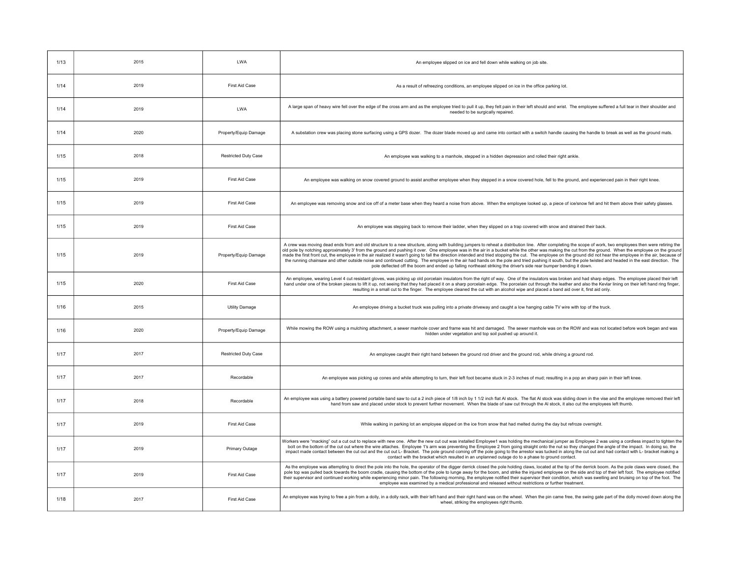| 1/13 | 2015 | <b>LWA</b>                  | An employee slipped on ice and fell down while walking on job site.                                                                                                                                                                                                                                                                                                                                                                                                                                                                                                                                                                                                                                                                                                                                                                                                                                                                                                         |
|------|------|-----------------------------|-----------------------------------------------------------------------------------------------------------------------------------------------------------------------------------------------------------------------------------------------------------------------------------------------------------------------------------------------------------------------------------------------------------------------------------------------------------------------------------------------------------------------------------------------------------------------------------------------------------------------------------------------------------------------------------------------------------------------------------------------------------------------------------------------------------------------------------------------------------------------------------------------------------------------------------------------------------------------------|
| 1/14 | 2019 | First Aid Case              | As a result of refreezing conditions, an employee slipped on ice in the office parking lot.                                                                                                                                                                                                                                                                                                                                                                                                                                                                                                                                                                                                                                                                                                                                                                                                                                                                                 |
| 1/14 | 2019 | LWA                         | A large span of heavy wire fell over the edge of the cross arm and as the employee tried to pull it up, they felt pain in their left should and wrist. The employee suffered a full tear in their shoulder and<br>needed to be surgically repaired.                                                                                                                                                                                                                                                                                                                                                                                                                                                                                                                                                                                                                                                                                                                         |
| 1/14 | 2020 | Property/Equip Damage       | A substation crew was placing stone surfacing using a GPS dozer. The dozer blade moved up and came into contact with a switch handle causing the handle to break as well as the ground mats.                                                                                                                                                                                                                                                                                                                                                                                                                                                                                                                                                                                                                                                                                                                                                                                |
| 1/15 | 2018 | <b>Restricted Duty Case</b> | An employee was walking to a manhole, stepped in a hidden depression and rolled their right ankle.                                                                                                                                                                                                                                                                                                                                                                                                                                                                                                                                                                                                                                                                                                                                                                                                                                                                          |
| 1/15 | 2019 | First Aid Case              | An employee was walking on snow covered ground to assist another employee when they stepped in a snow covered hole, fell to the ground, and experienced pain in their right knee.                                                                                                                                                                                                                                                                                                                                                                                                                                                                                                                                                                                                                                                                                                                                                                                           |
| 1/15 | 2019 | First Aid Case              | An employee was removing snow and ice off of a meter base when they heard a noise from above. When the employee looked up, a piece of ice/snow fell and hit them above their safety glasses.                                                                                                                                                                                                                                                                                                                                                                                                                                                                                                                                                                                                                                                                                                                                                                                |
| 1/15 | 2019 | First Aid Case              | An employee was stepping back to remove their ladder, when they slipped on a trap covered with snow and strained their back.                                                                                                                                                                                                                                                                                                                                                                                                                                                                                                                                                                                                                                                                                                                                                                                                                                                |
| 1/15 | 2019 | Property/Equip Damage       | A crew was moving dead ends from and old structure to a new structure, along with building jumpers to reheat a distribution line. After completing the scope of work, two employees then were retiring the<br>old pole by notching approximately 3' from the ground and pushing it over. One employee was in the air in a bucket while the other was making the cut from the ground. When the employee on the ground<br>made the first front cut, the employee in the air realized it wasn't going to fall the direction intended and tried stopping the cut. The employee on the ground did not hear the employee in the air, because of<br>the running chainsaw and other outside noise and continued cutting. The employee in the air had hands on the pole and tried pushing it south, but the pole twisted and headed in the east direction. The<br>pole deflected off the boom and ended up falling northeast striking the driver's side rear bumper bending it down. |
| 1/15 | 2020 | First Aid Case              | An employee, wearing Level 4 cut resistant gloves, was picking up old porcelain insulators from the right of way. One of the insulators was broken and had sharp edges. The employee placed their left<br>hand under one of the broken pieces to lift it up, not seeing that they had placed it on a sharp porcelain edge. The porcelain cut through the leather and also the Kevlar lining on their left hand ring finger,<br>resulting in a small cut to the finger. The employee cleaned the cut with an alcohol wipe and placed a band aid over it, first aid only.                                                                                                                                                                                                                                                                                                                                                                                                     |
| 1/16 | 2015 | <b>Utility Damage</b>       | An employee driving a bucket truck was pulling into a private driveway and caught a low hanging cable TV wire with top of the truck.                                                                                                                                                                                                                                                                                                                                                                                                                                                                                                                                                                                                                                                                                                                                                                                                                                        |
| 1/16 | 2020 | Property/Equip Damage       | While mowing the ROW using a mulching attachment, a sewer manhole cover and frame was hit and damaged. The sewer manhole was on the ROW and was not located before work began and was<br>hidden under vegetation and top soil pushed up around it.                                                                                                                                                                                                                                                                                                                                                                                                                                                                                                                                                                                                                                                                                                                          |
| 1/17 | 2017 | <b>Restricted Duty Case</b> | An employee caught their right hand between the ground rod driver and the ground rod, while driving a ground rod.                                                                                                                                                                                                                                                                                                                                                                                                                                                                                                                                                                                                                                                                                                                                                                                                                                                           |
| 1/17 | 2017 | Recordable                  | An employee was picking up cones and while attempting to turn, their left foot became stuck in 2-3 inches of mud; resulting in a pop an sharp pain in their left knee.                                                                                                                                                                                                                                                                                                                                                                                                                                                                                                                                                                                                                                                                                                                                                                                                      |
| 1/17 | 2018 | Recordable                  | An employee was using a battery powered portable band saw to cut a 2 inch piece of 1/8 inch by 1 1/2 inch flat AI stock. The flat AI stock was sliding down in the vise and the employee removed their left<br>hand from saw and placed under stock to prevent further movement. When the blade of saw cut through the AI stock, it also cut the employees left thumb.                                                                                                                                                                                                                                                                                                                                                                                                                                                                                                                                                                                                      |
| 1/17 | 2019 | First Aid Case              | While walking in parking lot an employee slipped on the ice from snow that had melted during the day but refroze overnight.                                                                                                                                                                                                                                                                                                                                                                                                                                                                                                                                                                                                                                                                                                                                                                                                                                                 |
| 1/17 | 2019 | Primary Outage              | Workers were "macking" out a cut out to replace with new one. After the new cut out was installed Employee1 was holding the mechanical jumper as Employee 2 was using a cordless impact to tighten the<br>bolt on the bottom of the cut out where the wire attaches. Employee 1's arm was preventing the Employee 2 from going straight onto the nut so they changed the angle of the impact. In doing so, the<br>impact made contact between the cut out and the cut out L- Bracket. The pole ground coming off the pole going to the arrestor was tucked in along the cut out and had contact with L- bracket making a<br>contact with the bracket which resulted in an unplanned outage do to a phase to ground contact.                                                                                                                                                                                                                                                 |
| 1/17 | 2019 | First Aid Case              | As the employee was attempting to direct the pole into the hole, the operator of the digger derrick closed the pole holding claws, located at the tip of the derrick boom. As the pole claws were closed, the<br>pole top was pulled back towards the boom cradle, causing the bottom of the pole to lunge away for the boom, and strike the injured employee on the side and top of their left foot. The employee notified<br>their supervisor and continued working while experiencing minor pain. The following morning, the employee notified their supervisor their condition, which was swelling and bruising on top of the foot. The<br>employee was examined by a medical professional and released without restrictions or further treatment.                                                                                                                                                                                                                      |
| 1/18 | 2017 | First Aid Case              | An employee was trying to free a pin from a dolly, in a dolly rack, with their left hand and their right hand was on the wheel. When the pin came free, the swing gate part of the dolly moved down along the<br>wheel, striking the employees right thumb.                                                                                                                                                                                                                                                                                                                                                                                                                                                                                                                                                                                                                                                                                                                 |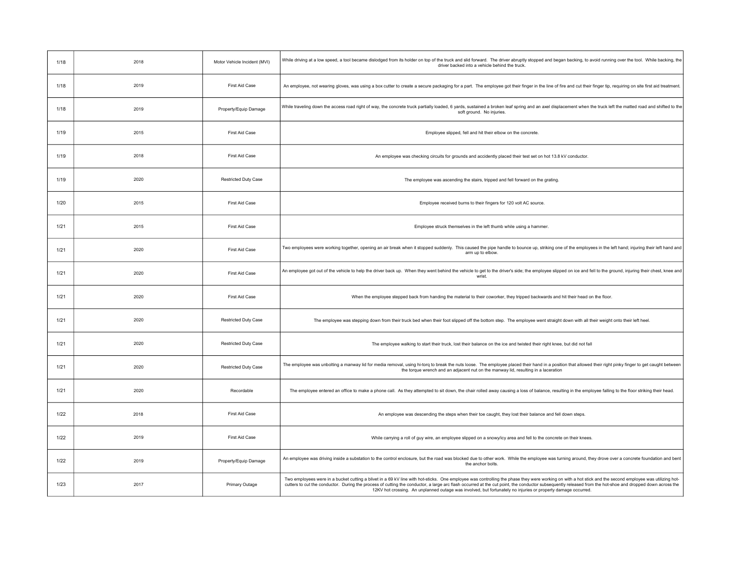| 1/18 | 2018 | Motor Vehicle Incident (MVI) | While driving at a low speed, a tool became dislodged from its holder on top of the truck and slid forward. The driver abruptly stopped and began backing, to avoid running over the tool. While backing, the<br>driver backed into a vehicle behind the truck.                                                                                                                                                                                                                                                                        |
|------|------|------------------------------|----------------------------------------------------------------------------------------------------------------------------------------------------------------------------------------------------------------------------------------------------------------------------------------------------------------------------------------------------------------------------------------------------------------------------------------------------------------------------------------------------------------------------------------|
| 1/18 | 2019 | First Aid Case               | An employee, not wearing gloves, was using a box cutter to create a secure packaging for a part. The employee got their finger in the line of fire and cut their finger tip, requiring on site first aid treatment.                                                                                                                                                                                                                                                                                                                    |
| 1/18 | 2019 | Property/Equip Damage        | While traveling down the access road right of way, the concrete truck partially loaded, 6 yards, sustained a broken leaf spring and an axel displacement when the truck left the matted road and shifted to the<br>soft ground. No injuries.                                                                                                                                                                                                                                                                                           |
| 1/19 | 2015 | First Aid Case               | Employee slipped, fell and hit their elbow on the concrete.                                                                                                                                                                                                                                                                                                                                                                                                                                                                            |
| 1/19 | 2018 | First Aid Case               | An employee was checking circuits for grounds and accidently placed their test set on hot 13.8 kV conductor.                                                                                                                                                                                                                                                                                                                                                                                                                           |
| 1/19 | 2020 | <b>Restricted Duty Case</b>  | The employee was ascending the stairs, tripped and fell forward on the grating.                                                                                                                                                                                                                                                                                                                                                                                                                                                        |
| 1/20 | 2015 | First Aid Case               | Employee received burns to their fingers for 120 volt AC source.                                                                                                                                                                                                                                                                                                                                                                                                                                                                       |
| 1/21 | 2015 | First Aid Case               | Employee struck themselves in the left thumb while using a hammer.                                                                                                                                                                                                                                                                                                                                                                                                                                                                     |
| 1/21 | 2020 | First Aid Case               | Two employees were working together, opening an air break when it stopped suddenly. This caused the pipe handle to bounce up, striking one of the employees in the left hand; injuring their left hand<br>arm up to elbow.                                                                                                                                                                                                                                                                                                             |
| 1/21 | 2020 | First Aid Case               | An employee got out of the vehicle to help the driver back up. When they went behind the vehicle to get to the driver's side; the employee slipped on ice and fell to the ground, injuring their chest, knee and<br>wrist                                                                                                                                                                                                                                                                                                              |
| 1/21 | 2020 | First Aid Case               | When the employee stepped back from handing the material to their coworker, they tripped backwards and hit their head on the floor.                                                                                                                                                                                                                                                                                                                                                                                                    |
| 1/21 | 2020 | <b>Restricted Duty Case</b>  | The employee was stepping down from their truck bed when their foot slipped off the bottom step. The employee went straight down with all their weight onto their left heel.                                                                                                                                                                                                                                                                                                                                                           |
| 1/21 | 2020 | <b>Restricted Duty Case</b>  | The employee walking to start their truck, lost their balance on the ice and twisted their right knee, but did not fall                                                                                                                                                                                                                                                                                                                                                                                                                |
| 1/21 | 2020 | <b>Restricted Duty Case</b>  | The employee was unbolting a manway lid for media removal, using hi-torq to break the nuts loose. The employee placed their hand in a position that allowed their right pinky finger to get caught between<br>the torque wrench and an adjacent nut on the manway lid, resulting in a laceration                                                                                                                                                                                                                                       |
| 1/21 | 2020 | Recordable                   | The employee entered an office to make a phone call. As they attempted to sit down, the chair rolled away causing a loss of balance, resulting in the employee falling to the floor striking their head.                                                                                                                                                                                                                                                                                                                               |
| 1/22 | 2018 | First Aid Case               | An employee was descending the steps when their toe caught, they lost their balance and fell down steps.                                                                                                                                                                                                                                                                                                                                                                                                                               |
| 1/22 | 2019 | First Aid Case               | While carrying a roll of guy wire, an employee slipped on a snowy/icy area and fell to the concrete on their knees.                                                                                                                                                                                                                                                                                                                                                                                                                    |
| 1/22 | 2019 | Property/Equip Damage        | An employee was driving inside a substation to the control enclosure, but the road was blocked due to other work. While the employee was turning around, they drove over a concrete foundation and bent<br>the anchor bolts.                                                                                                                                                                                                                                                                                                           |
| 1/23 | 2017 | Primary Outage               | Two employees were in a bucket cutting a blivet in a 69 kV line with hot-sticks. One employee was controlling the phase they were working on with a hot stick and the second employee was utilizing hot-<br>cutters to cut the conductor. During the process of cutting the conductor, a large arc flash occurred at the cut point, the conductor subsequently released from the hot-shoe and dropped down across the<br>12KV hot crossing. An unplanned outage was involved, but fortunately no injuries or property damage occurred. |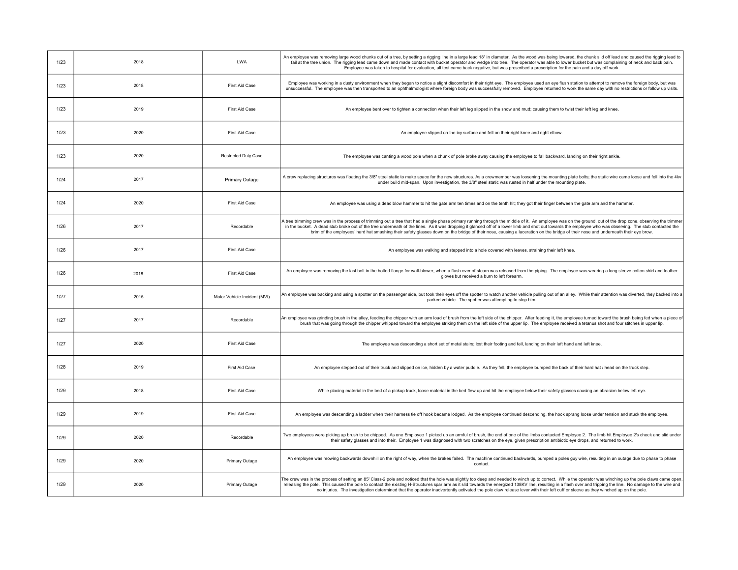| 1/23 | 2018 | <b>LWA</b>                   | An employee was removing large wood chunks out of a tree, by setting a rigging line in a large lead 18" in diameter. As the wood was being lowered, the chunk slid off lead and caused the rigging lead to<br>fail at the tree union. The rigging lead came down and made contact with bucket operator and wedge into tree. The operator was able to lower bucket but was complaining of neck and back pain.<br>Employee was taken to hospital for evaluation, all test came back negative, but was prescribed a prescription for the pain and a day off work.                                                |
|------|------|------------------------------|---------------------------------------------------------------------------------------------------------------------------------------------------------------------------------------------------------------------------------------------------------------------------------------------------------------------------------------------------------------------------------------------------------------------------------------------------------------------------------------------------------------------------------------------------------------------------------------------------------------|
| 1/23 | 2018 | First Aid Case               | Employee was working in a dusty environment when they began to notice a slight discomfort in their right eye. The employee used an eye flush station to attempt to remove the foreign body, but was<br>unsuccessful. The employee was then transported to an ophthalmologist where foreign body was successfully removed. Employee returned to work the same day with no restrictions or follow up visits.                                                                                                                                                                                                    |
| 1/23 | 2019 | First Aid Case               | An employee bent over to tighten a connection when their left leg slipped in the snow and mud; causing them to twist their left leg and knee.                                                                                                                                                                                                                                                                                                                                                                                                                                                                 |
| 1/23 | 2020 | First Aid Case               | An employee slipped on the icy surface and fell on their right knee and right elbow                                                                                                                                                                                                                                                                                                                                                                                                                                                                                                                           |
| 1/23 | 2020 | <b>Restricted Duty Case</b>  | The employee was canting a wood pole when a chunk of pole broke away causing the employee to fall backward, landing on their right ankle.                                                                                                                                                                                                                                                                                                                                                                                                                                                                     |
| 1/24 | 2017 | Primary Outage               | A crew replacing structures was floating the 3/8" steel static to make space for the new structures. As a crewmember was loosening the mounting plate bolts; the static wire came loose and fell into the 4kv<br>under build mid-span. Upon investigation, the 3/8" steel static was rusted in half under the mounting plate.                                                                                                                                                                                                                                                                                 |
| 1/24 | 2020 | First Aid Case               | An employee was using a dead blow hammer to hit the gate arm ten times and on the tenth hit; they got their finger between the gate arm and the hammer.                                                                                                                                                                                                                                                                                                                                                                                                                                                       |
| 1/26 | 2017 | Recordable                   | A tree trimming crew was in the process of trimming out a tree that had a single phase primary running through the middle of it. An employee was on the ground, out of the drop zone, observing the trimme<br>in the bucket. A dead stub broke out of the tree underneath of the lines. As it was dropping it glanced off of a lower limb and shot out towards the employee who was observing. The stub contacted the<br>brim of the employees' hard hat smashing their safety glasses down on the bridge of their nose, causing a laceration on the bridge of their nose and underneath their eye brow.      |
| 1/26 | 2017 | First Aid Case               | An employee was walking and stepped into a hole covered with leaves, straining their left knee.                                                                                                                                                                                                                                                                                                                                                                                                                                                                                                               |
| 1/26 | 2018 | First Aid Case               | An employee was removing the last bolt in the bolted flange for wall-blower, when a flash over of steam was released from the piping. The employee was wearing a long sleeve cotton shirt and leather<br>gloves but received a burn to left forearm.                                                                                                                                                                                                                                                                                                                                                          |
| 1/27 | 2015 | Motor Vehicle Incident (MVI) | An employee was backing and using a spotter on the passenger side, but took their eyes off the spotter to watch another vehicle pulling out of an alley. While their attention was diverted, they backed into a<br>parked vehicle. The spotter was attempting to stop him.                                                                                                                                                                                                                                                                                                                                    |
| 1/27 | 2017 | Recordable                   | An employee was grinding brush in the alley, feeding the chipper with an arm load of brush from the left side of the chipper. After feeding it, the employee turned toward the brush being fed when a piece of<br>brush that was going through the chipper whipped toward the employee striking them on the left side of the upper lip. The employee received a tetanus shot and four stitches in upper lip.                                                                                                                                                                                                  |
| 1/27 | 2020 | First Aid Case               | The employee was descending a short set of metal stairs; lost their footing and fell, landing on their left hand and left knee.                                                                                                                                                                                                                                                                                                                                                                                                                                                                               |
| 1/28 | 2019 | First Aid Case               | An employee stepped out of their truck and slipped on ice, hidden by a water puddle. As they fell, the employee bumped the back of their hard hat / head on the truck step.                                                                                                                                                                                                                                                                                                                                                                                                                                   |
| 1/29 | 2018 | First Aid Case               | While placing material in the bed of a pickup truck, loose material in the bed flew up and hit the employee below their safety glasses causing an abrasion below left eye.                                                                                                                                                                                                                                                                                                                                                                                                                                    |
| 1/29 | 2019 | First Aid Case               | An employee was descending a ladder when their harness tie off hook became lodged. As the employee continued descending, the hook sprang loose under tension and stuck the employee.                                                                                                                                                                                                                                                                                                                                                                                                                          |
| 1/29 | 2020 | Recordable                   | Two employees were picking up brush to be chipped. As one Employee 1 picked up an armful of brush, the end of one of the limbs contacted Employee 2. The limb hit Employee 2's cheek and slid under<br>their safety glasses and into their. Employee 1 was diagnosed with two scratches on the eye, given prescription antibiotic eye drops, and returned to work.                                                                                                                                                                                                                                            |
| 1/29 | 2020 | Primary Outage               | An employee was mowing backwards downhill on the right of way, when the brakes failed. The machine continued backwards, bumped a poles guy wire, resulting in an outage due to phase to phase<br>contact.                                                                                                                                                                                                                                                                                                                                                                                                     |
| 1/29 | 2020 | Primary Outage               | The crew was in the process of setting an 85' Class-2 pole and noticed that the hole was slightly too deep and needed to winch up to correct. While the operator was winching up the pole claws came open<br>releasing the pole. This caused the pole to contact the existing H-Structures spar arm as it slid towards the energized 138KV line, resulting in a flash over and tripping the line. No damage to the wire and<br>no injuries. The investigation determined that the operator inadvertently activated the pole claw release lever with their left cuff or sleeve as they winched up on the pole. |